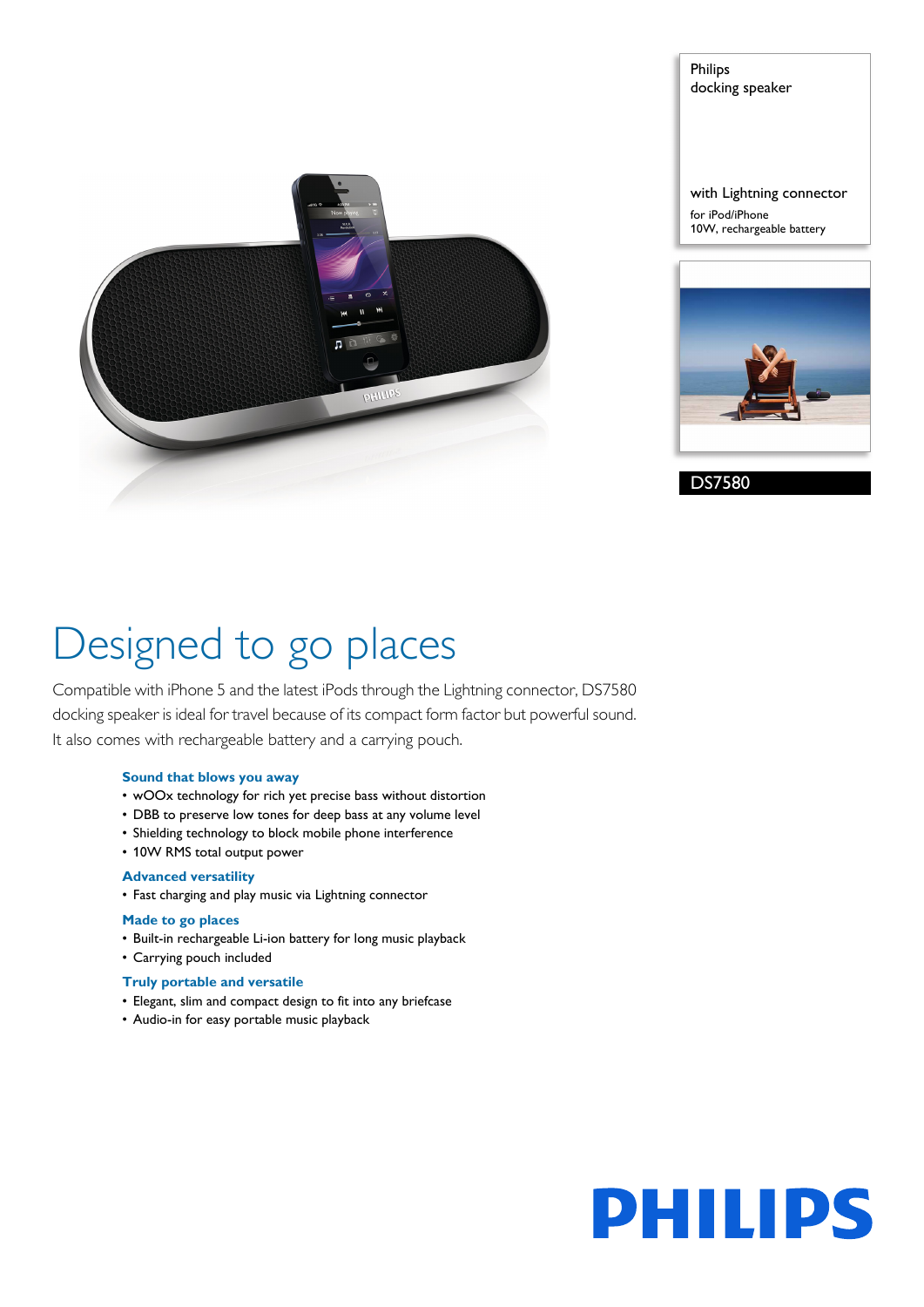

Philips docking speaker

with Lightning connector for iPod/iPhone 10W, rechargeable battery



DS7580

# Designed to go places

Compatible with iPhone 5 and the latest iPods through the Lightning connector, DS7580 docking speaker is ideal for travel because of its compact form factor but powerful sound. It also comes with rechargeable battery and a carrying pouch.

# **Sound that blows you away**

- wOOx technology for rich yet precise bass without distortion
- DBB to preserve low tones for deep bass at any volume level
- Shielding technology to block mobile phone interference
- 10W RMS total output power

# **Advanced versatility**

• Fast charging and play music via Lightning connector

# **Made to go places**

- Built-in rechargeable Li-ion battery for long music playback
- Carrying pouch included

## **Truly portable and versatile**

- Elegant, slim and compact design to fit into any briefcase
- Audio-in for easy portable music playback